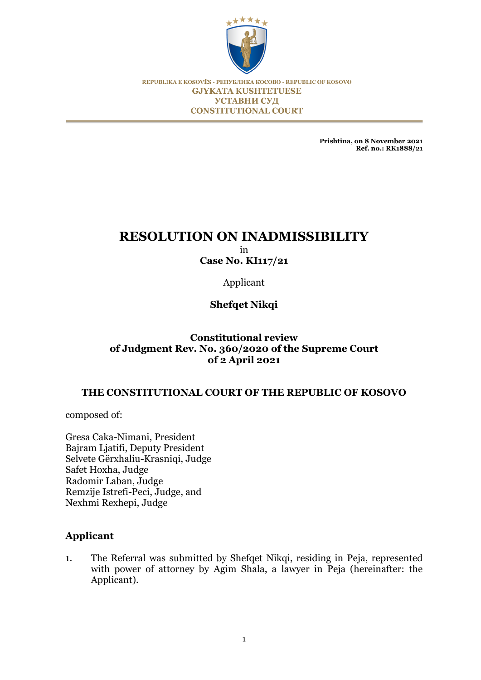

REPUBLIKA E KOSOVËS - РЕПУБЛИКА КОСОВО - REPUBLIC OF KOSOVO **GJYKATA KUSHTETUESE УСТАВНИ СУД CONSTITUTIONAL COURT** 

> **Prishtina, on 8 November 2021 Ref. no.: RK1888/21**

# **RESOLUTION ON INADMISSIBILITY** in

**Case No. KI117/21**

Applicant

**Shefqet Nikqi**

# **Constitutional review of Judgment Rev. No. 360/2020 of the Supreme Court of 2 April 2021**

# **THE CONSTITUTIONAL COURT OF THE REPUBLIC OF KOSOVO**

composed of:

Gresa Caka-Nimani, President Bajram Ljatifi, Deputy President Selvete Gërxhaliu-Krasniqi, Judge Safet Hoxha, Judge Radomir Laban, Judge Remzije Istrefi-Peci, Judge, and Nexhmi Rexhepi, Judge

# **Applicant**

1. The Referral was submitted by Shefqet Nikqi, residing in Peja, represented with power of attorney by Agim Shala, a lawyer in Peja (hereinafter: the Applicant).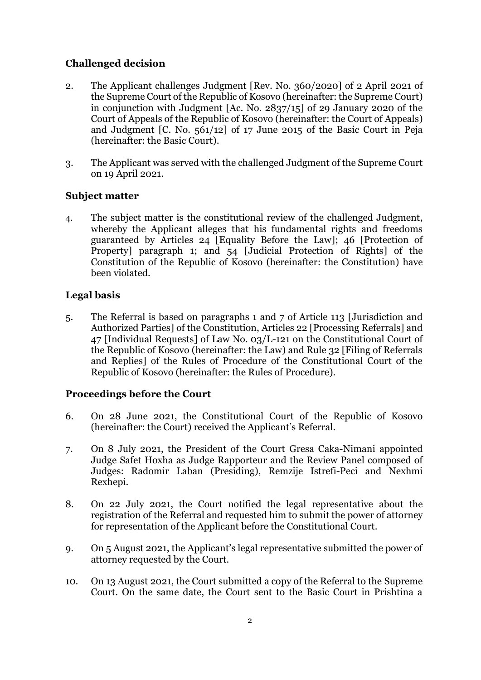# **Challenged decision**

- 2. The Applicant challenges Judgment [Rev. No. 360/2020] of 2 April 2021 of the Supreme Court of the Republic of Kosovo (hereinafter: the Supreme Court) in conjunction with Judgment [Ac. No. 2837/15] of 29 January 2020 of the Court of Appeals of the Republic of Kosovo (hereinafter: the Court of Appeals) and Judgment [C. No. 561/12] of 17 June 2015 of the Basic Court in Peja (hereinafter: the Basic Court).
- 3. The Applicant was served with the challenged Judgment of the Supreme Court on 19 April 2021.

# **Subject matter**

4. The subject matter is the constitutional review of the challenged Judgment, whereby the Applicant alleges that his fundamental rights and freedoms guaranteed by Articles 24 [Equality Before the Law]; 46 [Protection of Property] paragraph 1; and 54 [Judicial Protection of Rights] of the Constitution of the Republic of Kosovo (hereinafter: the Constitution) have been violated.

# **Legal basis**

5. The Referral is based on paragraphs 1 and 7 of Article 113 [Jurisdiction and Authorized Parties] of the Constitution, Articles 22 [Processing Referrals] and 47 [Individual Requests] of Law No. 03/L-121 on the Constitutional Court of the Republic of Kosovo (hereinafter: the Law) and Rule 32 [Filing of Referrals and Replies] of the Rules of Procedure of the Constitutional Court of the Republic of Kosovo (hereinafter: the Rules of Procedure).

# **Proceedings before the Court**

- 6. On 28 June 2021, the Constitutional Court of the Republic of Kosovo (hereinafter: the Court) received the Applicant's Referral.
- 7. On 8 July 2021, the President of the Court Gresa Caka-Nimani appointed Judge Safet Hoxha as Judge Rapporteur and the Review Panel composed of Judges: Radomir Laban (Presiding), Remzije Istrefi-Peci and Nexhmi Rexhepi.
- 8. On 22 July 2021, the Court notified the legal representative about the registration of the Referral and requested him to submit the power of attorney for representation of the Applicant before the Constitutional Court.
- 9. On 5 August 2021, the Applicant's legal representative submitted the power of attorney requested by the Court.
- 10. On 13 August 2021, the Court submitted a copy of the Referral to the Supreme Court. On the same date, the Court sent to the Basic Court in Prishtina a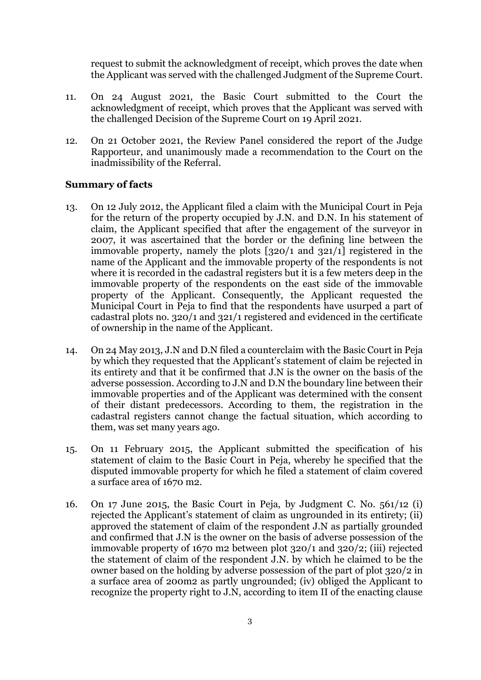request to submit the acknowledgment of receipt, which proves the date when the Applicant was served with the challenged Judgment of the Supreme Court.

- 11. On 24 August 2021, the Basic Court submitted to the Court the acknowledgment of receipt, which proves that the Applicant was served with the challenged Decision of the Supreme Court on 19 April 2021.
- 12. On 21 October 2021, the Review Panel considered the report of the Judge Rapporteur, and unanimously made a recommendation to the Court on the inadmissibility of the Referral.

## **Summary of facts**

- 13. On 12 July 2012, the Applicant filed a claim with the Municipal Court in Peja for the return of the property occupied by J.N. and D.N. In his statement of claim, the Applicant specified that after the engagement of the surveyor in 2007, it was ascertained that the border or the defining line between the immovable property, namely the plots [320/1 and 321/1] registered in the name of the Applicant and the immovable property of the respondents is not where it is recorded in the cadastral registers but it is a few meters deep in the immovable property of the respondents on the east side of the immovable property of the Applicant. Consequently, the Applicant requested the Municipal Court in Peja to find that the respondents have usurped a part of cadastral plots no. 320/1 and 321/1 registered and evidenced in the certificate of ownership in the name of the Applicant.
- 14. On 24 May 2013, J.N and D.N filed a counterclaim with the Basic Court in Peja by which they requested that the Applicant's statement of claim be rejected in its entirety and that it be confirmed that J.N is the owner on the basis of the adverse possession. According to J.N and D.N the boundary line between their immovable properties and of the Applicant was determined with the consent of their distant predecessors. According to them, the registration in the cadastral registers cannot change the factual situation, which according to them, was set many years ago.
- 15. On 11 February 2015, the Applicant submitted the specification of his statement of claim to the Basic Court in Peja, whereby he specified that the disputed immovable property for which he filed a statement of claim covered a surface area of 1670 m2.
- 16. On 17 June 2015, the Basic Court in Peja, by Judgment C. No. 561/12 (i) rejected the Applicant's statement of claim as ungrounded in its entirety; (ii) approved the statement of claim of the respondent J.N as partially grounded and confirmed that J.N is the owner on the basis of adverse possession of the immovable property of 1670 m2 between plot 320/1 and 320/2; (iii) rejected the statement of claim of the respondent J.N. by which he claimed to be the owner based on the holding by adverse possession of the part of plot 320/2 in a surface area of 200m2 as partly ungrounded; (iv) obliged the Applicant to recognize the property right to J.N, according to item II of the enacting clause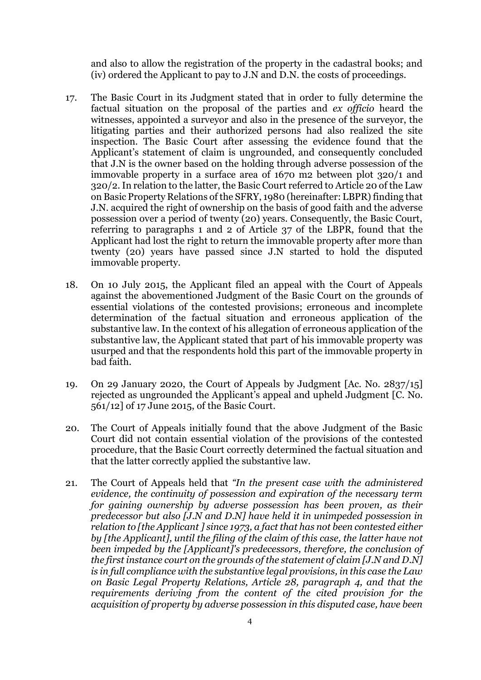and also to allow the registration of the property in the cadastral books; and (iv) ordered the Applicant to pay to J.N and D.N. the costs of proceedings.

- 17. The Basic Court in its Judgment stated that in order to fully determine the factual situation on the proposal of the parties and *ex officio* heard the witnesses, appointed a surveyor and also in the presence of the surveyor, the litigating parties and their authorized persons had also realized the site inspection. The Basic Court after assessing the evidence found that the Applicant's statement of claim is ungrounded, and consequently concluded that J.N is the owner based on the holding through adverse possession of the immovable property in a surface area of 1670 m2 between plot 320/1 and 320/2. In relation to the latter, the Basic Court referred to Article 20 of the Law on Basic Property Relations of the SFRY, 1980 (hereinafter: LBPR) finding that J.N. acquired the right of ownership on the basis of good faith and the adverse possession over a period of twenty (20) years. Consequently, the Basic Court, referring to paragraphs 1 and 2 of Article 37 of the LBPR, found that the Applicant had lost the right to return the immovable property after more than twenty (20) years have passed since J.N started to hold the disputed immovable property.
- 18. On 10 July 2015, the Applicant filed an appeal with the Court of Appeals against the abovementioned Judgment of the Basic Court on the grounds of essential violations of the contested provisions; erroneous and incomplete determination of the factual situation and erroneous application of the substantive law. In the context of his allegation of erroneous application of the substantive law, the Applicant stated that part of his immovable property was usurped and that the respondents hold this part of the immovable property in bad faith.
- 19. On 29 January 2020, the Court of Appeals by Judgment [Ac. No. 2837/15] rejected as ungrounded the Applicant's appeal and upheld Judgment [C. No. 561/12] of 17 June 2015, of the Basic Court.
- 20. The Court of Appeals initially found that the above Judgment of the Basic Court did not contain essential violation of the provisions of the contested procedure, that the Basic Court correctly determined the factual situation and that the latter correctly applied the substantive law.
- 21. The Court of Appeals held that *"In the present case with the administered evidence, the continuity of possession and expiration of the necessary term for gaining ownership by adverse possession has been proven, as their predecessor but also [J.N and D.N] have held it in unimpeded possession in relation to [the Applicant ] since 1973, a fact that has not been contested either by [the Applicant], until the filing of the claim of this case, the latter have not been impeded by the [Applicant]'s predecessors, therefore, the conclusion of the first instance court on the grounds of the statement of claim [J.N and D.N] is in full compliance with the substantive legal provisions, in this case the Law on Basic Legal Property Relations, Article 28, paragraph 4, and that the requirements deriving from the content of the cited provision for the acquisition of property by adverse possession in this disputed case, have been*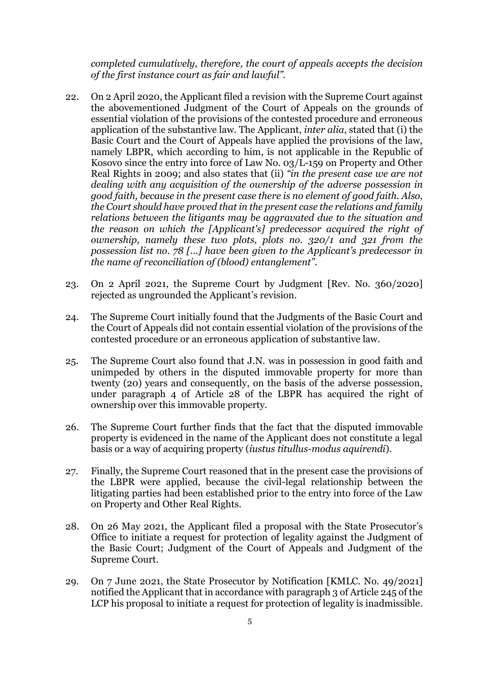*completed cumulatively, therefore, the court of appeals accepts the decision of the first instance court as fair and lawful".*

- 22. On 2 April 2020, the Applicant filed a revision with the Supreme Court against the abovementioned Judgment of the Court of Appeals on the grounds of essential violation of the provisions of the contested procedure and erroneous application of the substantive law. The Applicant, *inter alia*, stated that (i) the Basic Court and the Court of Appeals have applied the provisions of the law, namely LBPR, which according to him, is not applicable in the Republic of Kosovo since the entry into force of Law No. 03/L-159 on Property and Other Real Rights in 2009; and also states that (ii) *"in the present case we are not dealing with any acquisition of the ownership of the adverse possession in good faith, because in the present case there is no element of good faith. Also, the Court should have proved that in the present case the relations and family relations between the litigants may be aggravated due to the situation and the reason on which the [Applicant's] predecessor acquired the right of ownership, namely these two plots, plots no. 320/1 and 321 from the possession list no. 78 [...] have been given to the Applicant's predecessor in the name of reconciliation of (blood) entanglement".*
- 23. On 2 April 2021, the Supreme Court by Judgment [Rev. No. 360/2020] rejected as ungrounded the Applicant's revision.
- 24. The Supreme Court initially found that the Judgments of the Basic Court and the Court of Appeals did not contain essential violation of the provisions of the contested procedure or an erroneous application of substantive law.
- 25. The Supreme Court also found that J.N. was in possession in good faith and unimpeded by others in the disputed immovable property for more than twenty (20) years and consequently, on the basis of the adverse possession, under paragraph 4 of Article 28 of the LBPR has acquired the right of ownership over this immovable property.
- 26. The Supreme Court further finds that the fact that the disputed immovable property is evidenced in the name of the Applicant does not constitute a legal basis or a way of acquiring property (*iustus titullus-modus aquirendi*).
- 27. Finally, the Supreme Court reasoned that in the present case the provisions of the LBPR were applied, because the civil-legal relationship between the litigating parties had been established prior to the entry into force of the Law on Property and Other Real Rights.
- 28. On 26 May 2021, the Applicant filed a proposal with the State Prosecutor's Office to initiate a request for protection of legality against the Judgment of the Basic Court; Judgment of the Court of Appeals and Judgment of the Supreme Court.
- 29. On 7 June 2021, the State Prosecutor by Notification [KMLC. No. 49/2021] notified the Applicant that in accordance with paragraph 3 of Article 245 of the LCP his proposal to initiate a request for protection of legality is inadmissible.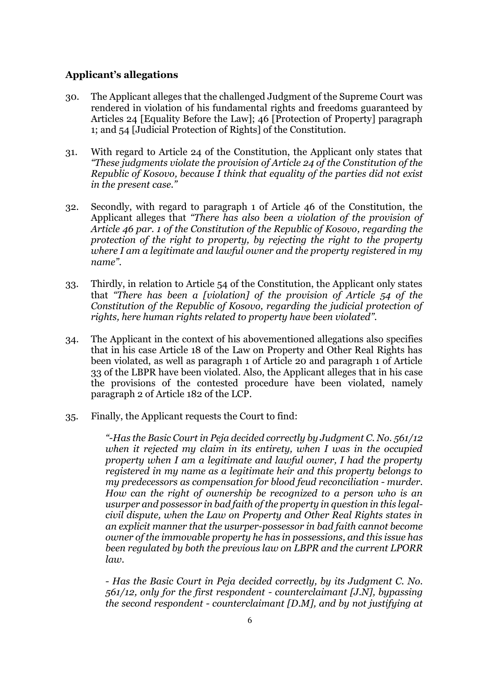#### **Applicant's allegations**

- 30. The Applicant alleges that the challenged Judgment of the Supreme Court was rendered in violation of his fundamental rights and freedoms guaranteed by Articles 24 [Equality Before the Law]; 46 [Protection of Property] paragraph 1; and 54 [Judicial Protection of Rights] of the Constitution.
- 31. With regard to Article 24 of the Constitution, the Applicant only states that *"These judgments violate the provision of Article 24 of the Constitution of the Republic of Kosovo, because I think that equality of the parties did not exist in the present case."*
- 32. Secondly, with regard to paragraph 1 of Article 46 of the Constitution, the Applicant alleges that *"There has also been a violation of the provision of Article 46 par. 1 of the Constitution of the Republic of Kosovo, regarding the protection of the right to property, by rejecting the right to the property where I am a legitimate and lawful owner and the property registered in my name".*
- 33. Thirdly, in relation to Article 54 of the Constitution, the Applicant only states that *"There has been a [violation] of the provision of Article 54 of the Constitution of the Republic of Kosovo, regarding the judicial protection of rights, here human rights related to property have been violated".*
- 34. The Applicant in the context of his abovementioned allegations also specifies that in his case Article 18 of the Law on Property and Other Real Rights has been violated, as well as paragraph 1 of Article 20 and paragraph 1 of Article 33 of the LBPR have been violated. Also, the Applicant alleges that in his case the provisions of the contested procedure have been violated, namely paragraph 2 of Article 182 of the LCP.
- 35. Finally, the Applicant requests the Court to find:

*"-Has the Basic Court in Peja decided correctly by Judgment C. No. 561/12 when it rejected my claim in its entirety, when I was in the occupied property when I am a legitimate and lawful owner, I had the property registered in my name as a legitimate heir and this property belongs to my predecessors as compensation for blood feud reconciliation - murder. How can the right of ownership be recognized to a person who is an usurper and possessor in bad faith of the property in question in this legalcivil dispute, when the Law on Property and Other Real Rights states in an explicit manner that the usurper-possessor in bad faith cannot become owner of the immovable property he has in possessions, and this issue has been regulated by both the previous law on LBPR and the current LPORR law.*

*- Has the Basic Court in Peja decided correctly, by its Judgment C. No. 561/12, only for the first respondent - counterclaimant [J.N], bypassing the second respondent - counterclaimant [D.M], and by not justifying at*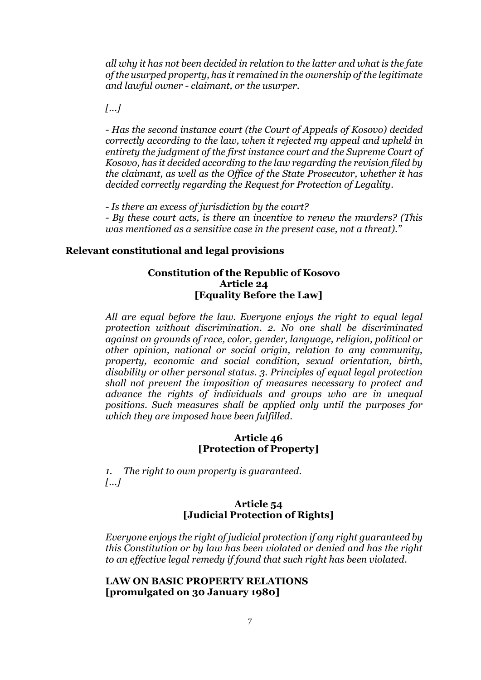*all why it has not been decided in relation to the latter and what is the fate of the usurped property, has it remained in the ownership of the legitimate and lawful owner - claimant, or the usurper.*

*[...]*

*- Has the second instance court (the Court of Appeals of Kosovo) decided correctly according to the law, when it rejected my appeal and upheld in entirety the judgment of the first instance court and the Supreme Court of Kosovo, has it decided according to the law regarding the revision filed by the claimant, as well as the Office of the State Prosecutor, whether it has decided correctly regarding the Request for Protection of Legality.*

*- Is there an excess of jurisdiction by the court?*

*- By these court acts, is there an incentive to renew the murders? (This was mentioned as a sensitive case in the present case, not a threat)."*

#### **Relevant constitutional and legal provisions**

# **Constitution of the Republic of Kosovo Article 24 [Equality Before the Law]**

*All are equal before the law. Everyone enjoys the right to equal legal protection without discrimination. 2. No one shall be discriminated against on grounds of race, color, gender, language, religion, political or other opinion, national or social origin, relation to any community, property, economic and social condition, sexual orientation, birth, disability or other personal status. 3. Principles of equal legal protection shall not prevent the imposition of measures necessary to protect and advance the rights of individuals and groups who are in unequal positions. Such measures shall be applied only until the purposes for which they are imposed have been fulfilled.*

#### **Article 46 [Protection of Property]**

*1. The right to own property is guaranteed. [...]*

## **Article 54 [Judicial Protection of Rights]**

*Everyone enjoys the right of judicial protection if any right guaranteed by this Constitution or by law has been violated or denied and has the right to an effective legal remedy if found that such right has been violated.*

# **LAW ON BASIC PROPERTY RELATIONS [promulgated on 30 January 1980]**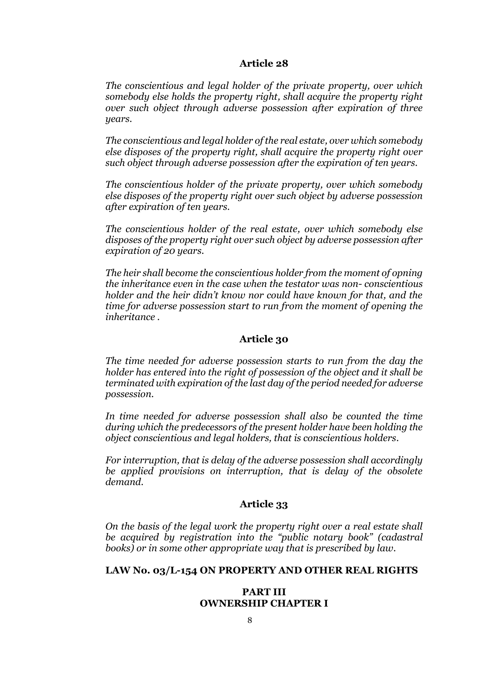#### **Article 28**

*The conscientious and legal holder of the private property, over which somebody else holds the property right, shall acquire the property right over such object through adverse possession after expiration of three years.*

*The conscientious and legal holder of the real estate, over which somebody else disposes of the property right, shall acquire the property right over such object through adverse possession after the expiration of ten years.*

*The conscientious holder of the private property, over which somebody else disposes of the property right over such object by adverse possession after expiration of ten years.*

*The conscientious holder of the real estate, over which somebody else disposes of the property right over such object by adverse possession after expiration of 20 years.*

*The heir shall become the conscientious holder from the moment of opning the inheritance even in the case when the testator was non- conscientious holder and the heir didn't know nor could have known for that, and the time for adverse possession start to run from the moment of opening the inheritance .*

#### **Article 30**

*The time needed for adverse possession starts to run from the day the holder has entered into the right of possession of the object and it shall be terminated with expiration of the last day of the period needed for adverse possession.*

*In time needed for adverse possession shall also be counted the time during which the predecessors of the present holder have been holding the object conscientious and legal holders, that is conscientious holders.*

*For interruption, that is delay of the adverse possession shall accordingly be applied provisions on interruption, that is delay of the obsolete demand.*

# **Article 33**

*On the basis of the legal work the property right over a real estate shall be acquired by registration into the "public notary book" (cadastral books) or in some other appropriate way that is prescribed by law.*

# **LAW No. 03/L-154 ON PROPERTY AND OTHER REAL RIGHTS**

#### **PART III OWNERSHIP CHAPTER I**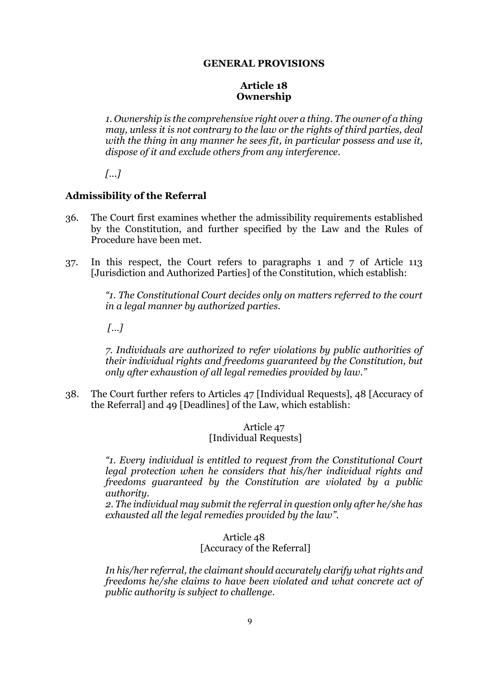## **GENERAL PROVISIONS**

## **Article 18 Ownership**

*1. Ownership is the comprehensive right over a thing. The owner of a thing may, unless it is not contrary to the law or the rights of third parties, deal with the thing in any manner he sees fit, in particular possess and use it, dispose of it and exclude others from any interference.*

*[...]*

# **Admissibility of the Referral**

- 36. The Court first examines whether the admissibility requirements established by the Constitution, and further specified by the Law and the Rules of Procedure have been met.
- 37. In this respect, the Court refers to paragraphs 1 and 7 of Article 113 [Jurisdiction and Authorized Parties] of the Constitution, which establish:

*"1. The Constitutional Court decides only on matters referred to the court in a legal manner by authorized parties.*

*[…]*

*7. Individuals are authorized to refer violations by public authorities of their individual rights and freedoms guaranteed by the Constitution, but only after exhaustion of all legal remedies provided by law."*

38. The Court further refers to Articles 47 [Individual Requests], 48 [Accuracy of the Referral] and 49 [Deadlines] of the Law, which establish:

## Article 47 [Individual Requests]

*"1. Every individual is entitled to request from the Constitutional Court legal protection when he considers that his/her individual rights and freedoms guaranteed by the Constitution are violated by a public authority.* 

*2. The individual may submit the referral in question only after he/she has exhausted all the legal remedies provided by the law".* 

## Article 48 [Accuracy of the Referral]

*In his/her referral, the claimant should accurately clarify what rights and freedoms he/she claims to have been violated and what concrete act of public authority is subject to challenge.*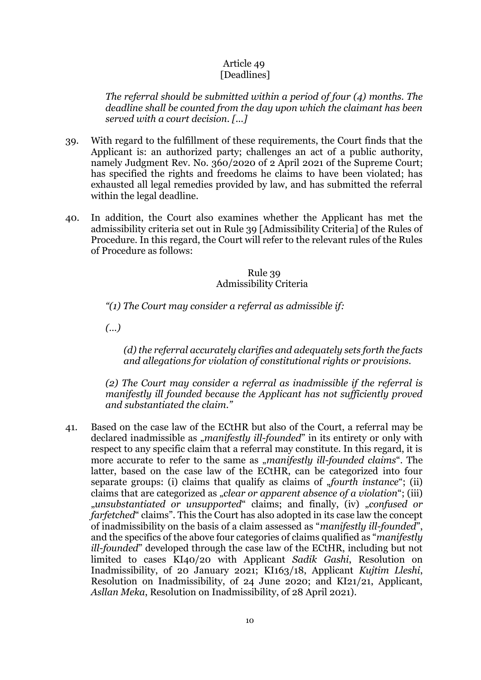## Article 49 [Deadlines]

*The referral should be submitted within a period of four (4) months. The deadline shall be counted from the day upon which the claimant has been served with a court decision. [...]*

- 39. With regard to the fulfillment of these requirements, the Court finds that the Applicant is: an authorized party; challenges an act of a public authority, namely Judgment Rev. No. 360/2020 of 2 April 2021 of the Supreme Court; has specified the rights and freedoms he claims to have been violated; has exhausted all legal remedies provided by law, and has submitted the referral within the legal deadline.
- 40. In addition, the Court also examines whether the Applicant has met the admissibility criteria set out in Rule 39 [Admissibility Criteria] of the Rules of Procedure. In this regard, the Court will refer to the relevant rules of the Rules of Procedure as follows:

#### Rule 39 Admissibility Criteria

*"(1) The Court may consider a referral as admissible if:* 

*(…)* 

*(d) the referral accurately clarifies and adequately sets forth the facts and allegations for violation of constitutional rights or provisions.*

*(2) The Court may consider a referral as inadmissible if the referral is manifestly ill founded because the Applicant has not sufficiently proved and substantiated the claim."*

41. Based on the case law of the ECtHR but also of the Court, a referral may be declared inadmissible as "*manifestly ill-founded*" in its entirety or only with respect to any specific claim that a referral may constitute. In this regard, it is more accurate to refer to the same as *"manifestly ill-founded claims*". The latter, based on the case law of the ECtHR, can be categorized into four separate groups: (i) claims that qualify as claims of "*fourth instance*"; (ii) claims that are categorized as *"clear or apparent absence of a violation*"; (iii) "*unsubstantiated or unsupported*" claims; and finally, (iv) "*confused or farfetched*" claims". This the Court has also adopted in its case law the concept of inadmissibility on the basis of a claim assessed as "*manifestly ill-founded*", and the specifics of the above four categories of claims qualified as "*manifestly ill-founded*" developed through the case law of the ECtHR, including but not limited to cases KI40/20 with Applicant *Sadik Gashi*, Resolution on Inadmissibility, of 20 January 2021; KI163/18, Applicant *Kujtim Lleshi*, Resolution on Inadmissibility, of 24 June 2020; and KI21/21, Applicant, *Asllan Meka*, Resolution on Inadmissibility, of 28 April 2021).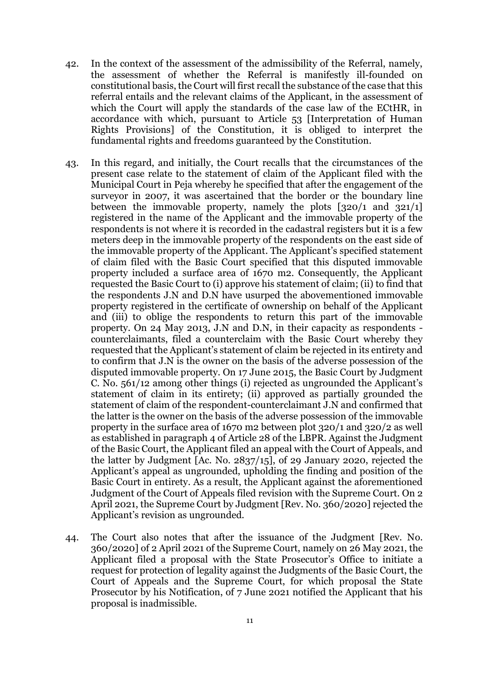- 42. In the context of the assessment of the admissibility of the Referral, namely, the assessment of whether the Referral is manifestly ill-founded on constitutional basis, the Court will first recall the substance of the case that this referral entails and the relevant claims of the Applicant, in the assessment of which the Court will apply the standards of the case law of the ECtHR, in accordance with which, pursuant to Article 53 [Interpretation of Human Rights Provisions] of the Constitution, it is obliged to interpret the fundamental rights and freedoms guaranteed by the Constitution.
- 43. In this regard, and initially, the Court recalls that the circumstances of the present case relate to the statement of claim of the Applicant filed with the Municipal Court in Peja whereby he specified that after the engagement of the surveyor in 2007, it was ascertained that the border or the boundary line between the immovable property, namely the plots [320/1 and 321/1] registered in the name of the Applicant and the immovable property of the respondents is not where it is recorded in the cadastral registers but it is a few meters deep in the immovable property of the respondents on the east side of the immovable property of the Applicant. The Applicant's specified statement of claim filed with the Basic Court specified that this disputed immovable property included a surface area of 1670 m2. Consequently, the Applicant requested the Basic Court to (i) approve his statement of claim; (ii) to find that the respondents J.N and D.N have usurped the abovementioned immovable property registered in the certificate of ownership on behalf of the Applicant and (iii) to oblige the respondents to return this part of the immovable property. On 24 May 2013, J.N and D.N, in their capacity as respondents counterclaimants, filed a counterclaim with the Basic Court whereby they requested that the Applicant's statement of claim be rejected in its entirety and to confirm that J.N is the owner on the basis of the adverse possession of the disputed immovable property. On 17 June 2015, the Basic Court by Judgment C. No. 561/12 among other things (i) rejected as ungrounded the Applicant's statement of claim in its entirety; (ii) approved as partially grounded the statement of claim of the respondent-counterclaimant J.N and confirmed that the latter is the owner on the basis of the adverse possession of the immovable property in the surface area of 1670 m2 between plot 320/1 and 320/2 as well as established in paragraph 4 of Article 28 of the LBPR. Against the Judgment of the Basic Court, the Applicant filed an appeal with the Court of Appeals, and the latter by Judgment [Ac. No. 2837/15], of 29 January 2020, rejected the Applicant's appeal as ungrounded, upholding the finding and position of the Basic Court in entirety. As a result, the Applicant against the aforementioned Judgment of the Court of Appeals filed revision with the Supreme Court. On 2 April 2021, the Supreme Court by Judgment [Rev. No. 360/2020] rejected the Applicant's revision as ungrounded.
- 44. The Court also notes that after the issuance of the Judgment [Rev. No. 360/2020] of 2 April 2021 of the Supreme Court, namely on 26 May 2021, the Applicant filed a proposal with the State Prosecutor's Office to initiate a request for protection of legality against the Judgments of the Basic Court, the Court of Appeals and the Supreme Court, for which proposal the State Prosecutor by his Notification, of 7 June 2021 notified the Applicant that his proposal is inadmissible.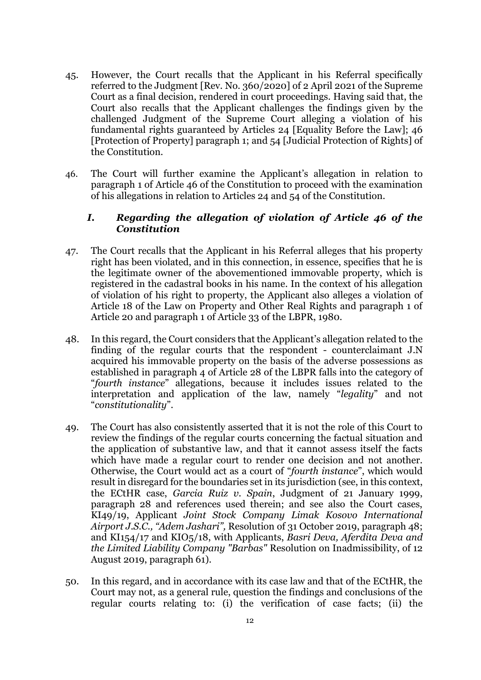- 45. However, the Court recalls that the Applicant in his Referral specifically referred to the Judgment [Rev. No. 360/2020] of 2 April 2021 of the Supreme Court as a final decision, rendered in court proceedings. Having said that, the Court also recalls that the Applicant challenges the findings given by the challenged Judgment of the Supreme Court alleging a violation of his fundamental rights guaranteed by Articles 24 [Equality Before the Law]; 46 [Protection of Property] paragraph 1; and 54 [Judicial Protection of Rights] of the Constitution.
- 46. The Court will further examine the Applicant's allegation in relation to paragraph 1 of Article 46 of the Constitution to proceed with the examination of his allegations in relation to Articles 24 and 54 of the Constitution.

# *I. Regarding the allegation of violation of Article 46 of the Constitution*

- 47. The Court recalls that the Applicant in his Referral alleges that his property right has been violated, and in this connection, in essence, specifies that he is the legitimate owner of the abovementioned immovable property, which is registered in the cadastral books in his name. In the context of his allegation of violation of his right to property, the Applicant also alleges a violation of Article 18 of the Law on Property and Other Real Rights and paragraph 1 of Article 20 and paragraph 1 of Article 33 of the LBPR, 1980.
- 48. In this regard, the Court considers that the Applicant's allegation related to the finding of the regular courts that the respondent - counterclaimant J.N acquired his immovable property on the basis of the adverse possessions as established in paragraph 4 of Article 28 of the LBPR falls into the category of "*fourth instance*" allegations, because it includes issues related to the interpretation and application of the law, namely "*legality*" and not "*constitutionality*".
- 49. The Court has also consistently asserted that it is not the role of this Court to review the findings of the regular courts concerning the factual situation and the application of substantive law, and that it cannot assess itself the facts which have made a regular court to render one decision and not another. Otherwise, the Court would act as a court of "*fourth instance*", which would result in disregard for the boundaries set in its jurisdiction (see, in this context, the ECtHR case, *Garcia Ruiz v. Spain*, Judgment of 21 January 1999, paragraph 28 and references used therein; and see also the Court cases, KI49/19, Applicant *Joint Stock Company Limak Kosovo International Airport J.S.C., "Adem Jashari",* Resolution of 31 October 2019, paragraph 48; and KI154/17 and KIO5/18, with Applicants, *Basri Deva, Aferdita Deva and the Limited Liability Company "Barbas"* Resolution on Inadmissibility, of 12 August 2019, paragraph 61).
- 50. In this regard, and in accordance with its case law and that of the ECtHR, the Court may not, as a general rule, question the findings and conclusions of the regular courts relating to: (i) the verification of case facts; (ii) the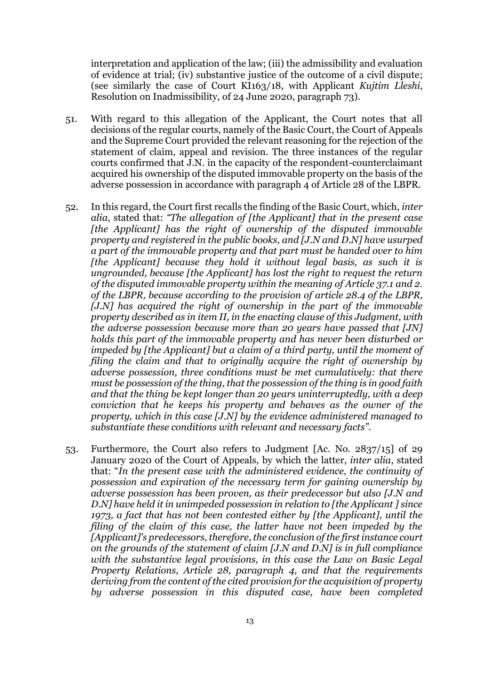interpretation and application of the law; (iii) the admissibility and evaluation of evidence at trial; (iv) substantive justice of the outcome of a civil dispute; (see similarly the case of Court KI163/18, with Applicant *Kujtim Lleshi*, Resolution on Inadmissibility, of 24 June 2020, paragraph 73).

- 51. With regard to this allegation of the Applicant, the Court notes that all decisions of the regular courts, namely of the Basic Court, the Court of Appeals and the Supreme Court provided the relevant reasoning for the rejection of the statement of claim, appeal and revision. The three instances of the regular courts confirmed that J.N. in the capacity of the respondent-counterclaimant acquired his ownership of the disputed immovable property on the basis of the adverse possession in accordance with paragraph 4 of Article 28 of the LBPR.
- 52. In this regard, the Court first recalls the finding of the Basic Court, which, *inter alia*, stated that: *"The allegation of [the Applicant] that in the present case [the Applicant] has the right of ownership of the disputed immovable property and registered in the public books, and [J.N and D.N] have usurped a part of the immovable property and that part must be handed over to him [the Applicant] because they hold it without legal basis, as such it is ungrounded, because [the Applicant] has lost the right to request the return of the disputed immovable property within the meaning of Article 37.1 and 2. of the LBPR, because according to the provision of article 28.4 of the LBPR, [J.N] has acquired the right of ownership in the part of the immovable property described as in item II, in the enacting clause of this Judgment, with the adverse possession because more than 20 years have passed that [JN] holds this part of the immovable property and has never been disturbed or impeded by [the Applicant] but a claim of a third party, until the moment of filing the claim and that to originally acquire the right of ownership by adverse possession, three conditions must be met cumulatively: that there must be possession of the thing, that the possession of the thing is in good faith and that the thing be kept longer than 20 years uninterruptedly, with a deep conviction that he keeps his property and behaves as the owner of the property, which in this case [J.N] by the evidence administered managed to substantiate these conditions with relevant and necessary facts".*
- 53. Furthermore, the Court also refers to Judgment [Ac. No. 2837/15] of 29 January 2020 of the Court of Appeals, by which the latter, *inter alia*, stated that: "*In the present case with the administered evidence, the continuity of possession and expiration of the necessary term for gaining ownership by adverse possession has been proven, as their predecessor but also [J.N and D.N] have held it in unimpeded possession in relation to [the Applicant ] since 1973, a fact that has not been contested either by [the Applicant], until the filing of the claim of this case, the latter have not been impeded by the [Applicant]'s predecessors, therefore, the conclusion of the first instance court on the grounds of the statement of claim [J.N and D.N] is in full compliance with the substantive legal provisions, in this case the Law on Basic Legal Property Relations, Article 28, paragraph 4, and that the requirements deriving from the content of the cited provision for the acquisition of property by adverse possession in this disputed case, have been completed*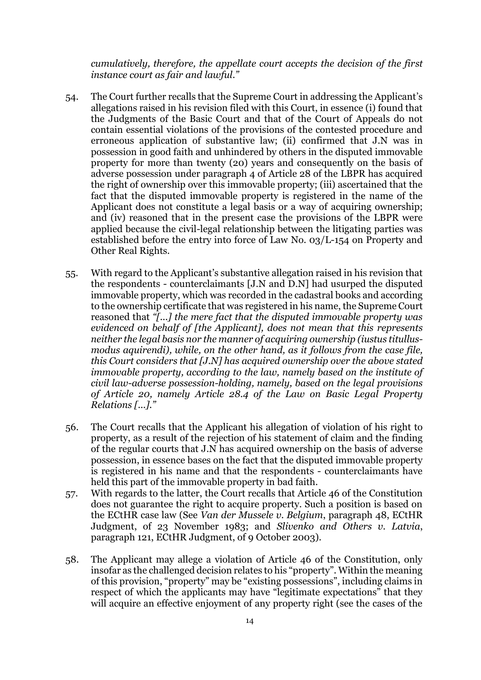*cumulatively, therefore, the appellate court accepts the decision of the first instance court as fair and lawful."*

- 54. The Court further recalls that the Supreme Court in addressing the Applicant's allegations raised in his revision filed with this Court, in essence (i) found that the Judgments of the Basic Court and that of the Court of Appeals do not contain essential violations of the provisions of the contested procedure and erroneous application of substantive law; (ii) confirmed that J.N was in possession in good faith and unhindered by others in the disputed immovable property for more than twenty (20) years and consequently on the basis of adverse possession under paragraph 4 of Article 28 of the LBPR has acquired the right of ownership over this immovable property; (iii) ascertained that the fact that the disputed immovable property is registered in the name of the Applicant does not constitute a legal basis or a way of acquiring ownership; and (iv) reasoned that in the present case the provisions of the LBPR were applied because the civil-legal relationship between the litigating parties was established before the entry into force of Law No. 03/L-154 on Property and Other Real Rights.
- 55. With regard to the Applicant's substantive allegation raised in his revision that the respondents - counterclaimants [J.N and D.N] had usurped the disputed immovable property, which was recorded in the cadastral books and according to the ownership certificate that was registered in his name, the Supreme Court reasoned that *"[...] the mere fact that the disputed immovable property was evidenced on behalf of [the Applicant], does not mean that this represents neither the legal basis nor the manner of acquiring ownership (iustus titullusmodus aquirendi), while, on the other hand, as it follows from the case file, this Court considers that [J.N] has acquired ownership over the above stated immovable property, according to the law, namely based on the institute of civil law-adverse possession-holding, namely, based on the legal provisions of Article 20, namely Article 28.4 of the Law on Basic Legal Property Relations [...]."*
- 56. The Court recalls that the Applicant his allegation of violation of his right to property, as a result of the rejection of his statement of claim and the finding of the regular courts that J.N has acquired ownership on the basis of adverse possession, in essence bases on the fact that the disputed immovable property is registered in his name and that the respondents - counterclaimants have held this part of the immovable property in bad faith.
- 57. With regards to the latter, the Court recalls that Article 46 of the Constitution does not guarantee the right to acquire property. Such a position is based on the ECtHR case law (See *Van der Mussele v. Belgium*, paragraph 48, ECtHR Judgment, of 23 November 1983; and *Slivenko and Others v. Latvia*, paragraph 121, ECtHR Judgment, of 9 October 2003).
- 58. The Applicant may allege a violation of Article 46 of the Constitution, only insofar as the challenged decision relates to his "property". Within the meaning of this provision, "property" may be "existing possessions", including claims in respect of which the applicants may have "legitimate expectations" that they will acquire an effective enjoyment of any property right (see the cases of the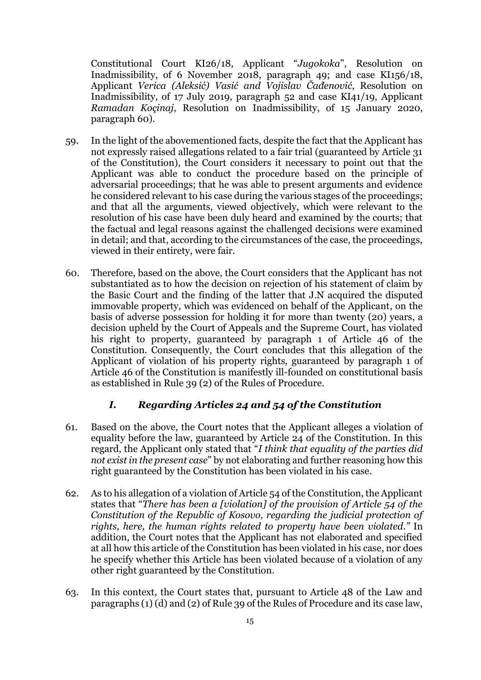Constitutional Court KI26/18, Applicant "*Jugokoka*", Resolution on Inadmissibility, of 6 November 2018, paragraph 49; and case KI156/18, Applicant *Verica (Aleksić) Vasić and Vojislav Čađenović*, Resolution on Inadmissibility, of 17 July 2019, paragraph 52 and case KI41/19, Applicant *Ramadan Koçinaj*, Resolution on Inadmissibility, of 15 January 2020, paragraph 60).

- 59. In the light of the abovementioned facts, despite the fact that the Applicant has not expressly raised allegations related to a fair trial (guaranteed by Article 31 of the Constitution), the Court considers it necessary to point out that the Applicant was able to conduct the procedure based on the principle of adversarial proceedings; that he was able to present arguments and evidence he considered relevant to his case during the various stages of the proceedings; and that all the arguments, viewed objectively, which were relevant to the resolution of his case have been duly heard and examined by the courts; that the factual and legal reasons against the challenged decisions were examined in detail; and that, according to the circumstances of the case, the proceedings, viewed in their entirety, were fair.
- 60. Therefore, based on the above, the Court considers that the Applicant has not substantiated as to how the decision on rejection of his statement of claim by the Basic Court and the finding of the latter that J.N acquired the disputed immovable property, which was evidenced on behalf of the Applicant, on the basis of adverse possession for holding it for more than twenty (20) years, a decision upheld by the Court of Appeals and the Supreme Court, has violated his right to property, guaranteed by paragraph 1 of Article 46 of the Constitution. Consequently, the Court concludes that this allegation of the Applicant of violation of his property rights, guaranteed by paragraph 1 of Article 46 of the Constitution is manifestly ill-founded on constitutional basis as established in Rule 39 (2) of the Rules of Procedure.

## *I. Regarding Articles 24 and 54 of the Constitution*

- 61. Based on the above, the Court notes that the Applicant alleges a violation of equality before the law, guaranteed by Article 24 of the Constitution. In this regard, the Applicant only stated that "*I think that equality of the parties did not exist in the present case*" by not elaborating and further reasoning how this right guaranteed by the Constitution has been violated in his case.
- 62. As to his allegation of a violation of Article 54 of the Constitution, the Applicant states that "*There has been a [violation] of the provision of Article 54 of the Constitution of the Republic of Kosovo, regarding the judicial protection of rights, here, the human rights related to property have been violated."* In addition, the Court notes that the Applicant has not elaborated and specified at all how this article of the Constitution has been violated in his case, nor does he specify whether this Article has been violated because of a violation of any other right guaranteed by the Constitution.
- 63. In this context, the Court states that, pursuant to Article 48 of the Law and paragraphs (1) (d) and (2) of Rule 39 of the Rules of Procedure and its case law,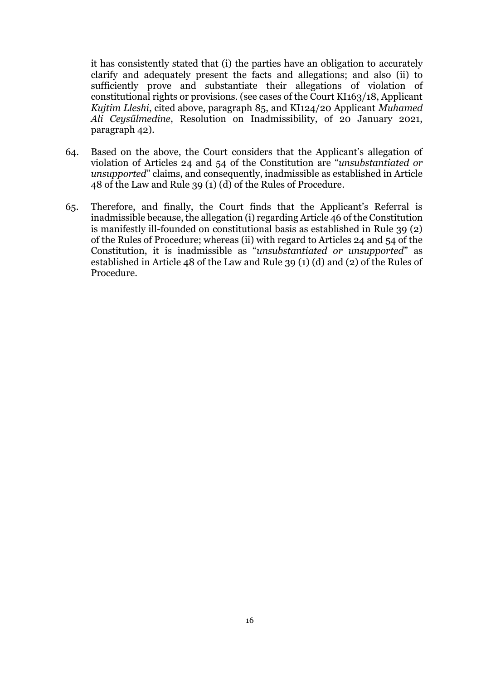it has consistently stated that (i) the parties have an obligation to accurately clarify and adequately present the facts and allegations; and also (ii) to sufficiently prove and substantiate their allegations of violation of constitutional rights or provisions. (see cases of the Court KI163/18, Applicant *Kujtim Lleshi*, cited above, paragraph 85, and KI124/20 Applicant *Muhamed Ali Ceysűlmedine*, Resolution on Inadmissibility, of 20 January 2021, paragraph 42).

- 64. Based on the above, the Court considers that the Applicant's allegation of violation of Articles 24 and 54 of the Constitution are "*unsubstantiated or unsupported*" claims, and consequently, inadmissible as established in Article 48 of the Law and Rule 39 (1) (d) of the Rules of Procedure.
- 65. Therefore, and finally, the Court finds that the Applicant's Referral is inadmissible because, the allegation (i) regarding Article 46 of the Constitution is manifestly ill-founded on constitutional basis as established in Rule 39 (2) of the Rules of Procedure; whereas (ii) with regard to Articles 24 and 54 of the Constitution, it is inadmissible as "*unsubstantiated or unsupported*" as established in Article 48 of the Law and Rule 39 (1) (d) and (2) of the Rules of Procedure.